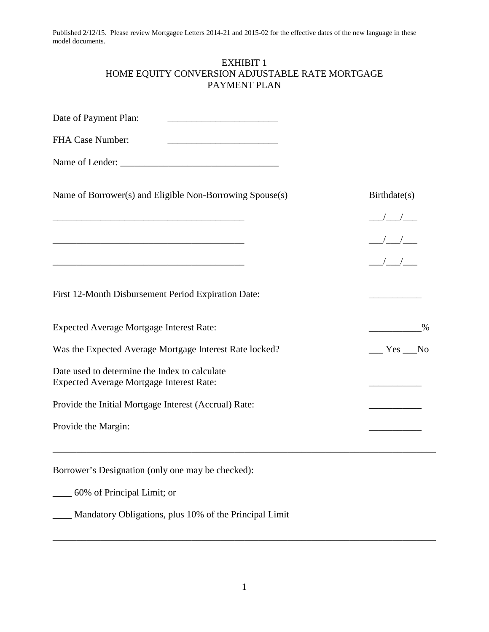## EXHIBIT 1 HOME EQUITY CONVERSION ADJUSTABLE RATE MORTGAGE PAYMENT PLAN

| Date of Payment Plan:                                                                            |                                                                                                                                                                                                                                                                                                                     |
|--------------------------------------------------------------------------------------------------|---------------------------------------------------------------------------------------------------------------------------------------------------------------------------------------------------------------------------------------------------------------------------------------------------------------------|
| FHA Case Number:<br><u> 1989 - Johann Barbara, martxa alemaniar a</u>                            |                                                                                                                                                                                                                                                                                                                     |
|                                                                                                  |                                                                                                                                                                                                                                                                                                                     |
| Name of Borrower(s) and Eligible Non-Borrowing Spouse(s)                                         | Birthdate(s)                                                                                                                                                                                                                                                                                                        |
|                                                                                                  | $\frac{1}{2}$ $\frac{1}{2}$ $\frac{1}{2}$ $\frac{1}{2}$ $\frac{1}{2}$ $\frac{1}{2}$ $\frac{1}{2}$ $\frac{1}{2}$ $\frac{1}{2}$ $\frac{1}{2}$ $\frac{1}{2}$ $\frac{1}{2}$ $\frac{1}{2}$ $\frac{1}{2}$ $\frac{1}{2}$ $\frac{1}{2}$ $\frac{1}{2}$ $\frac{1}{2}$ $\frac{1}{2}$ $\frac{1}{2}$ $\frac{1}{2}$ $\frac{1}{2}$ |
|                                                                                                  | $\frac{1}{1}$                                                                                                                                                                                                                                                                                                       |
| <u> 1989 - Johann John Stone, mars et al. (1989)</u>                                             | $\frac{1}{\sqrt{1-\frac{1}{2}}}$                                                                                                                                                                                                                                                                                    |
| First 12-Month Disbursement Period Expiration Date:                                              |                                                                                                                                                                                                                                                                                                                     |
| <b>Expected Average Mortgage Interest Rate:</b>                                                  | $\%$                                                                                                                                                                                                                                                                                                                |
| Was the Expected Average Mortgage Interest Rate locked?                                          | $Yes$ No                                                                                                                                                                                                                                                                                                            |
| Date used to determine the Index to calculate<br><b>Expected Average Mortgage Interest Rate:</b> |                                                                                                                                                                                                                                                                                                                     |
| Provide the Initial Mortgage Interest (Accrual) Rate:                                            |                                                                                                                                                                                                                                                                                                                     |
| Provide the Margin:                                                                              |                                                                                                                                                                                                                                                                                                                     |
| Borrower's Designation (only one may be checked):                                                |                                                                                                                                                                                                                                                                                                                     |
| 60% of Principal Limit; or                                                                       |                                                                                                                                                                                                                                                                                                                     |
| Mandatory Obligations, plus 10% of the Principal Limit                                           |                                                                                                                                                                                                                                                                                                                     |

\_\_\_\_\_\_\_\_\_\_\_\_\_\_\_\_\_\_\_\_\_\_\_\_\_\_\_\_\_\_\_\_\_\_\_\_\_\_\_\_\_\_\_\_\_\_\_\_\_\_\_\_\_\_\_\_\_\_\_\_\_\_\_\_\_\_\_\_\_\_\_\_\_\_\_\_\_\_\_\_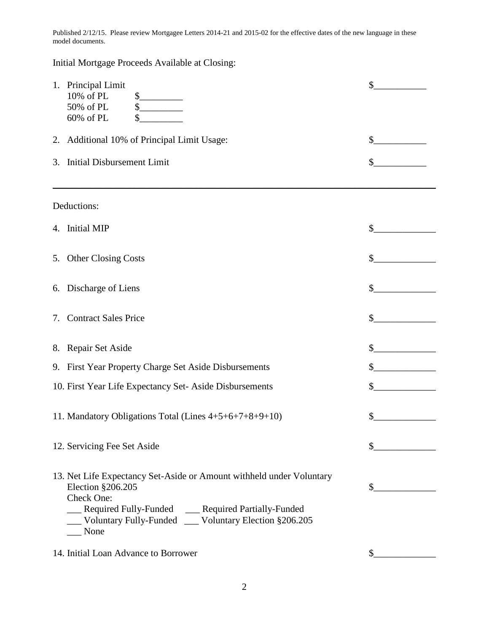Initial Mortgage Proceeds Available at Closing:

| 1. Principal Limit<br>10% of PL<br>\$<br>50% of PL<br>\$<br>60% of PL<br>\$                                                                                                                                                          | \$ |
|--------------------------------------------------------------------------------------------------------------------------------------------------------------------------------------------------------------------------------------|----|
| 2. Additional 10% of Principal Limit Usage:                                                                                                                                                                                          |    |
| 3. Initial Disbursement Limit                                                                                                                                                                                                        | \$ |
| Deductions:                                                                                                                                                                                                                          |    |
| 4. Initial MIP                                                                                                                                                                                                                       | \$ |
| 5. Other Closing Costs                                                                                                                                                                                                               | \$ |
| 6. Discharge of Liens                                                                                                                                                                                                                | \$ |
| 7. Contract Sales Price                                                                                                                                                                                                              | \$ |
| 8. Repair Set Aside                                                                                                                                                                                                                  | \$ |
| 9. First Year Property Charge Set Aside Disbursements                                                                                                                                                                                | \$ |
| 10. First Year Life Expectancy Set-Aside Disbursements                                                                                                                                                                               | \$ |
| 11. Mandatory Obligations Total (Lines 4+5+6+7+8+9+10)                                                                                                                                                                               | \$ |
| 12. Servicing Fee Set Aside                                                                                                                                                                                                          | \$ |
| 13. Net Life Expectancy Set-Aside or Amount withheld under Voluntary<br>Election §206.205<br>Check One:<br>__ Required Fully-Funded __ Required Partially-Funded<br>__ Voluntary Fully-Funded __ Voluntary Election §206.205<br>None | \$ |
| 14. Initial Loan Advance to Borrower                                                                                                                                                                                                 | \$ |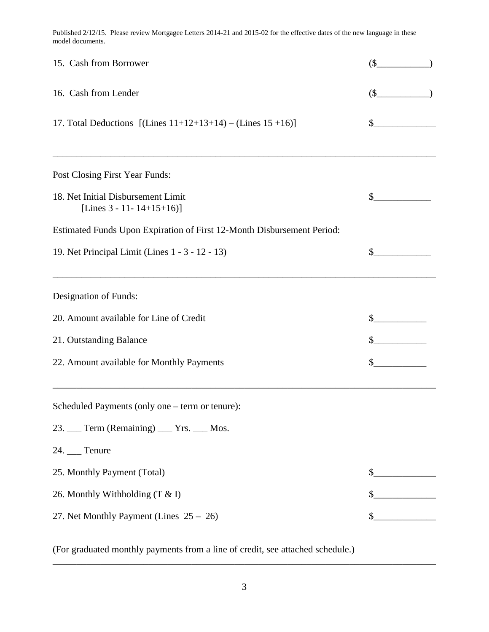| 15. Cash from Borrower                                                       | $($ \$ |
|------------------------------------------------------------------------------|--------|
| 16. Cash from Lender                                                         | \$     |
| 17. Total Deductions $[(\text{Lines } 11+12+13+14) - (\text{Lines } 15+16)]$ | \$     |
| Post Closing First Year Funds:                                               |        |
| 18. Net Initial Disbursement Limit<br>[Lines $3 - 11 - 14 + 15 + 16$ ]       | \$     |
| Estimated Funds Upon Expiration of First 12-Month Disbursement Period:       |        |
| 19. Net Principal Limit (Lines 1 - 3 - 12 - 13)                              | \$     |
| Designation of Funds:                                                        |        |
| 20. Amount available for Line of Credit                                      | \$     |
| 21. Outstanding Balance                                                      |        |
| 22. Amount available for Monthly Payments                                    | \$     |
| Scheduled Payments (only one – term or tenure):                              |        |
| 23. Term (Remaining) Trs. Mos.                                               |        |
| 24. Tenure                                                                   |        |
| 25. Monthly Payment (Total)                                                  | \$     |
| 26. Monthly Withholding (T & I)                                              | \$     |
| 27. Net Monthly Payment (Lines $25 - 26$ )                                   |        |

(For graduated monthly payments from a line of credit, see attached schedule.)

\_\_\_\_\_\_\_\_\_\_\_\_\_\_\_\_\_\_\_\_\_\_\_\_\_\_\_\_\_\_\_\_\_\_\_\_\_\_\_\_\_\_\_\_\_\_\_\_\_\_\_\_\_\_\_\_\_\_\_\_\_\_\_\_\_\_\_\_\_\_\_\_\_\_\_\_\_\_\_\_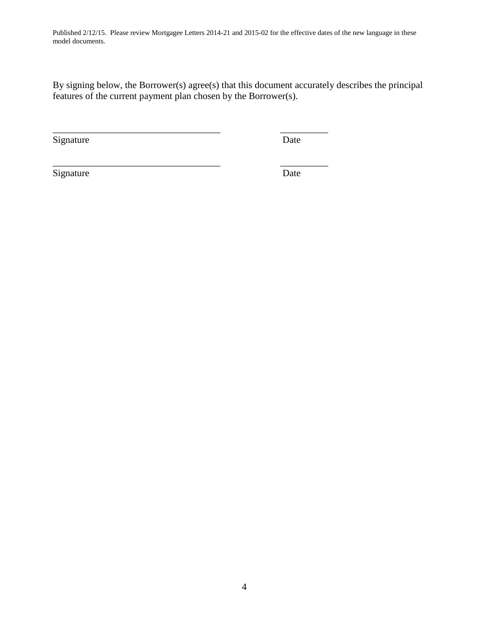By signing below, the Borrower(s) agree(s) that this document accurately describes the principal features of the current payment plan chosen by the Borrower(s).

\_\_\_\_\_\_\_\_\_\_\_\_\_\_\_\_\_\_\_\_\_\_\_\_\_\_\_\_\_\_\_\_\_\_\_ \_\_\_\_\_\_\_\_\_\_

\_\_\_\_\_\_\_\_\_\_\_\_\_\_\_\_\_\_\_\_\_\_\_\_\_\_\_\_\_\_\_\_\_\_\_ \_\_\_\_\_\_\_\_\_\_

Signature Date

Signature Date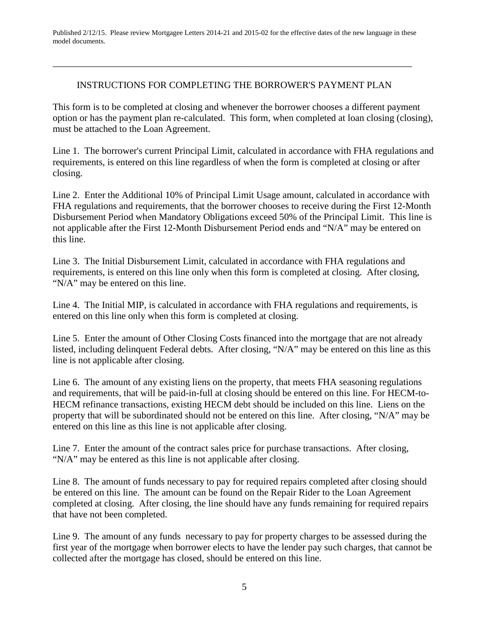## INSTRUCTIONS FOR COMPLETING THE BORROWER'S PAYMENT PLAN

\_\_\_\_\_\_\_\_\_\_\_\_\_\_\_\_\_\_\_\_\_\_\_\_\_\_\_\_\_\_\_\_\_\_\_\_\_\_\_\_\_\_\_\_\_\_\_\_\_\_\_\_\_\_\_\_\_\_\_\_\_\_\_\_\_\_\_\_\_\_\_\_\_\_\_

This form is to be completed at closing and whenever the borrower chooses a different payment option or has the payment plan re-calculated. This form, when completed at loan closing (closing), must be attached to the Loan Agreement.

Line 1. The borrower's current Principal Limit, calculated in accordance with FHA regulations and requirements, is entered on this line regardless of when the form is completed at closing or after closing.

Line 2. Enter the Additional 10% of Principal Limit Usage amount, calculated in accordance with FHA regulations and requirements, that the borrower chooses to receive during the First 12-Month Disbursement Period when Mandatory Obligations exceed 50% of the Principal Limit. This line is not applicable after the First 12-Month Disbursement Period ends and "N/A" may be entered on this line.

Line 3. The Initial Disbursement Limit, calculated in accordance with FHA regulations and requirements, is entered on this line only when this form is completed at closing. After closing, "N/A" may be entered on this line.

Line 4. The Initial MIP, is calculated in accordance with FHA regulations and requirements, is entered on this line only when this form is completed at closing.

Line 5. Enter the amount of Other Closing Costs financed into the mortgage that are not already listed, including delinquent Federal debts. After closing, "N/A" may be entered on this line as this line is not applicable after closing.

Line 6. The amount of any existing liens on the property, that meets FHA seasoning regulations and requirements, that will be paid-in-full at closing should be entered on this line. For HECM-to-HECM refinance transactions, existing HECM debt should be included on this line. Liens on the property that will be subordinated should not be entered on this line. After closing, "N/A" may be entered on this line as this line is not applicable after closing.

Line 7. Enter the amount of the contract sales price for purchase transactions. After closing, "N/A" may be entered as this line is not applicable after closing.

Line 8. The amount of funds necessary to pay for required repairs completed after closing should be entered on this line. The amount can be found on the Repair Rider to the Loan Agreement completed at closing. After closing, the line should have any funds remaining for required repairs that have not been completed.

Line 9. The amount of any funds necessary to pay for property charges to be assessed during the first year of the mortgage when borrower elects to have the lender pay such charges, that cannot be collected after the mortgage has closed, should be entered on this line.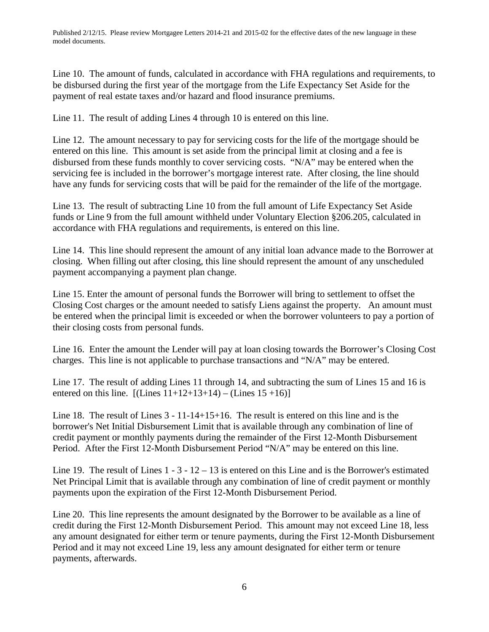Line 10. The amount of funds, calculated in accordance with FHA regulations and requirements, to be disbursed during the first year of the mortgage from the Life Expectancy Set Aside for the payment of real estate taxes and/or hazard and flood insurance premiums.

Line 11. The result of adding Lines 4 through 10 is entered on this line.

Line 12. The amount necessary to pay for servicing costs for the life of the mortgage should be entered on this line. This amount is set aside from the principal limit at closing and a fee is disbursed from these funds monthly to cover servicing costs. "N/A" may be entered when the servicing fee is included in the borrower's mortgage interest rate. After closing, the line should have any funds for servicing costs that will be paid for the remainder of the life of the mortgage.

Line 13. The result of subtracting Line 10 from the full amount of Life Expectancy Set Aside funds or Line 9 from the full amount withheld under Voluntary Election §206.205, calculated in accordance with FHA regulations and requirements, is entered on this line.

Line 14. This line should represent the amount of any initial loan advance made to the Borrower at closing. When filling out after closing, this line should represent the amount of any unscheduled payment accompanying a payment plan change.

Line 15. Enter the amount of personal funds the Borrower will bring to settlement to offset the Closing Cost charges or the amount needed to satisfy Liens against the property. An amount must be entered when the principal limit is exceeded or when the borrower volunteers to pay a portion of their closing costs from personal funds.

Line 16. Enter the amount the Lender will pay at loan closing towards the Borrower's Closing Cost charges. This line is not applicable to purchase transactions and "N/A" may be entered.

Line 17. The result of adding Lines 11 through 14, and subtracting the sum of Lines 15 and 16 is entered on this line.  $[(Lines 11+12+13+14) - (Lines 15+16)]$ 

Line 18. The result of Lines 3 - 11-14+15+16. The result is entered on this line and is the borrower's Net Initial Disbursement Limit that is available through any combination of line of credit payment or monthly payments during the remainder of the First 12-Month Disbursement Period. After the First 12-Month Disbursement Period "N/A" may be entered on this line.

Line 19. The result of Lines  $1 - 3 - 12 - 13$  is entered on this Line and is the Borrower's estimated Net Principal Limit that is available through any combination of line of credit payment or monthly payments upon the expiration of the First 12-Month Disbursement Period.

Line 20. This line represents the amount designated by the Borrower to be available as a line of credit during the First 12-Month Disbursement Period. This amount may not exceed Line 18, less any amount designated for either term or tenure payments, during the First 12-Month Disbursement Period and it may not exceed Line 19, less any amount designated for either term or tenure payments, afterwards.